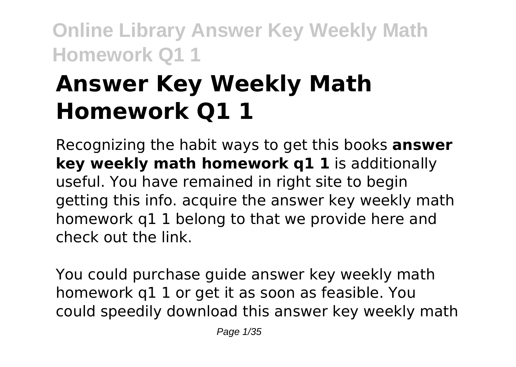# **Answer Key Weekly Math Homework Q1 1**

Recognizing the habit ways to get this books **answer key weekly math homework q1 1** is additionally useful. You have remained in right site to begin getting this info. acquire the answer key weekly math homework q1 1 belong to that we provide here and check out the link.

You could purchase guide answer key weekly math homework q1 1 or get it as soon as feasible. You could speedily download this answer key weekly math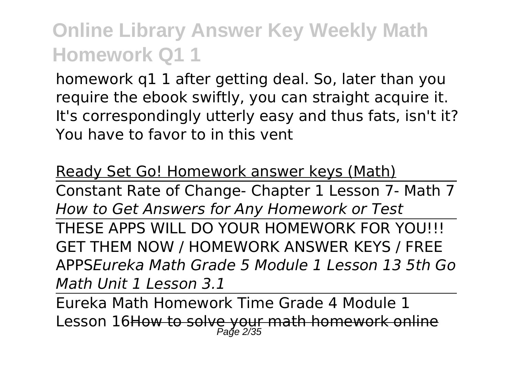homework q1 1 after getting deal. So, later than you require the ebook swiftly, you can straight acquire it. It's correspondingly utterly easy and thus fats, isn't it? You have to favor to in this vent

Ready Set Go! Homework answer keys (Math)

Constant Rate of Change- Chapter 1 Lesson 7- Math 7 *How to Get Answers for Any Homework or Test* THESE APPS WILL DO YOUR HOMEWORK FOR YOU!!! GET THEM NOW / HOMEWORK ANSWER KEYS / FREE APPS*Eureka Math Grade 5 Module 1 Lesson 13 5th Go Math Unit 1 Lesson 3.1*

Eureka Math Homework Time Grade 4 Module 1 Lesson 16<del>How to solve your math homework online</del><br>Page 2/35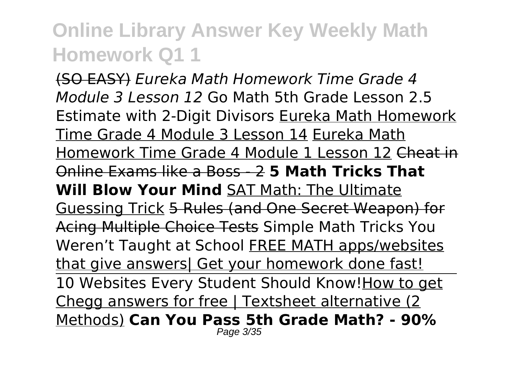(SO EASY) *Eureka Math Homework Time Grade 4 Module 3 Lesson 12* Go Math 5th Grade Lesson 2.5 Estimate with 2-Digit Divisors Eureka Math Homework Time Grade 4 Module 3 Lesson 14 Eureka Math Homework Time Grade 4 Module 1 Lesson 12 Cheat in Online Exams like a Boss - 2 **5 Math Tricks That Will Blow Your Mind** SAT Math: The Ultimate Guessing Trick 5 Rules (and One Secret Weapon) for Acing Multiple Choice Tests Simple Math Tricks You Weren't Taught at School FREE MATH apps/websites that give answers| Get your homework done fast! 10 Websites Every Student Should Know! How to get Chegg answers for free | Textsheet alternative (2 Methods) **Can You Pass 5th Grade Math? - 90%** Page 3/35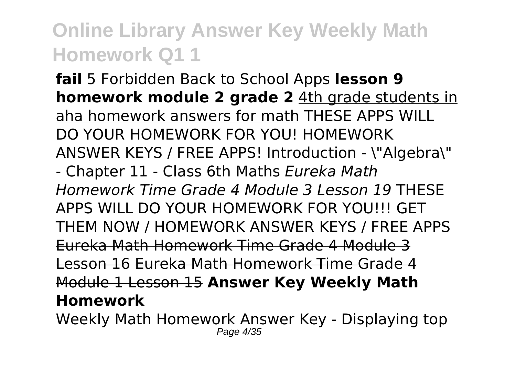**fail** 5 Forbidden Back to School Apps **lesson 9 homework module 2 grade 2** 4th grade students in aha homework answers for math THESE APPS WILL DO YOUR HOMEWORK FOR YOU! HOMEWORK ANSWER KEYS / FREE APPS! Introduction - \"Algebra\" - Chapter 11 - Class 6th Maths *Eureka Math Homework Time Grade 4 Module 3 Lesson 19* THESE APPS WILL DO YOUR HOMEWORK FOR YOU!!! GET THEM NOW / HOMEWORK ANSWER KEYS / FREE APPS Eureka Math Homework Time Grade 4 Module 3 Lesson 16 Eureka Math Homework Time Grade 4 Module 1 Lesson 15 **Answer Key Weekly Math Homework**

Weekly Math Homework Answer Key - Displaying top Page 4/35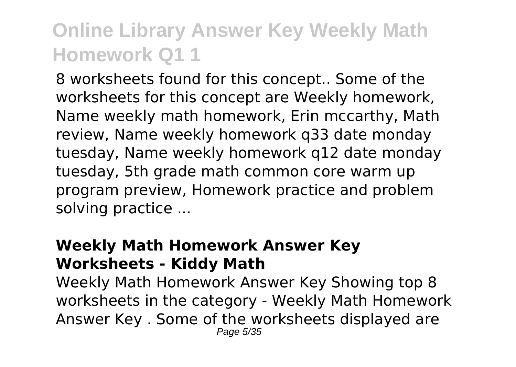8 worksheets found for this concept.. Some of the worksheets for this concept are Weekly homework, Name weekly math homework, Erin mccarthy, Math review, Name weekly homework q33 date monday tuesday, Name weekly homework q12 date monday tuesday, 5th grade math common core warm up program preview, Homework practice and problem solving practice ...

#### **Weekly Math Homework Answer Key Worksheets - Kiddy Math**

Weekly Math Homework Answer Key Showing top 8 worksheets in the category - Weekly Math Homework Answer Key . Some of the worksheets displayed are Page 5/35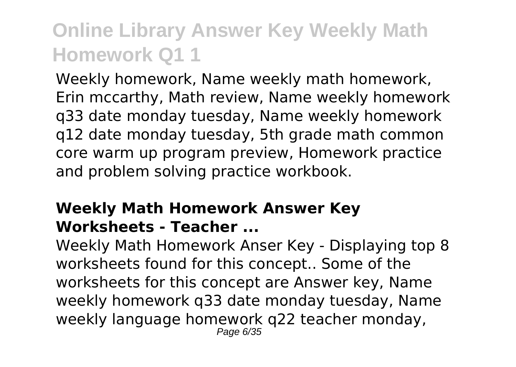Weekly homework, Name weekly math homework, Erin mccarthy, Math review, Name weekly homework q33 date monday tuesday, Name weekly homework q12 date monday tuesday, 5th grade math common core warm up program preview, Homework practice and problem solving practice workbook.

#### **Weekly Math Homework Answer Key Worksheets - Teacher ...**

Weekly Math Homework Anser Key - Displaying top 8 worksheets found for this concept.. Some of the worksheets for this concept are Answer key, Name weekly homework q33 date monday tuesday, Name weekly language homework q22 teacher monday, Page 6/35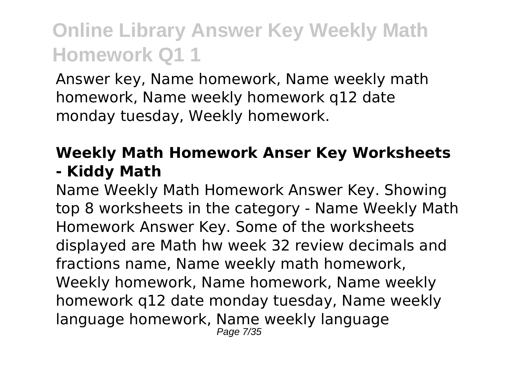Answer key, Name homework, Name weekly math homework, Name weekly homework q12 date monday tuesday, Weekly homework.

#### **Weekly Math Homework Anser Key Worksheets - Kiddy Math**

Name Weekly Math Homework Answer Key. Showing top 8 worksheets in the category - Name Weekly Math Homework Answer Key. Some of the worksheets displayed are Math hw week 32 review decimals and fractions name, Name weekly math homework, Weekly homework, Name homework, Name weekly homework q12 date monday tuesday, Name weekly language homework, Name weekly language Page 7/35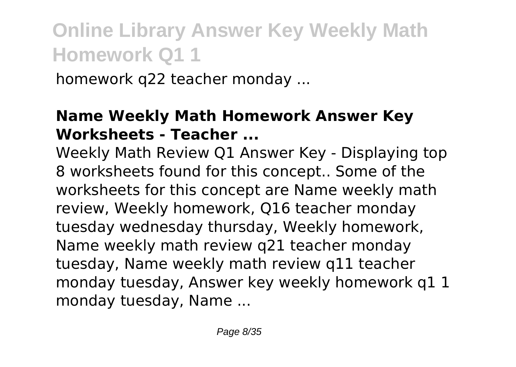homework q22 teacher monday ...

#### **Name Weekly Math Homework Answer Key Worksheets - Teacher ...**

Weekly Math Review Q1 Answer Key - Displaying top 8 worksheets found for this concept.. Some of the worksheets for this concept are Name weekly math review, Weekly homework, Q16 teacher monday tuesday wednesday thursday, Weekly homework, Name weekly math review q21 teacher monday tuesday, Name weekly math review q11 teacher monday tuesday, Answer key weekly homework q1 1 monday tuesday, Name ...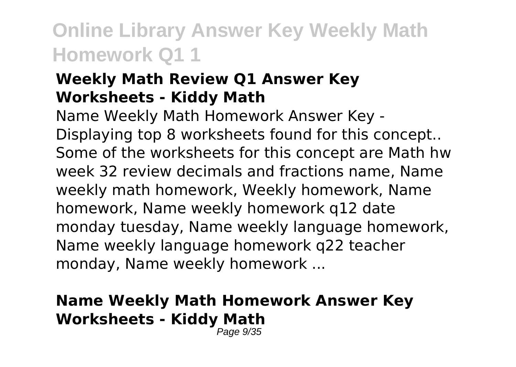#### **Weekly Math Review Q1 Answer Key Worksheets - Kiddy Math**

Name Weekly Math Homework Answer Key - Displaying top 8 worksheets found for this concept.. Some of the worksheets for this concept are Math hw week 32 review decimals and fractions name, Name weekly math homework, Weekly homework, Name homework, Name weekly homework q12 date monday tuesday, Name weekly language homework, Name weekly language homework q22 teacher monday, Name weekly homework ...

#### **Name Weekly Math Homework Answer Key Worksheets - Kiddy Math**

Page 9/35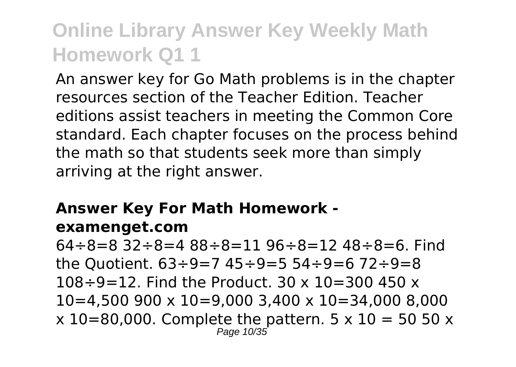An answer key for Go Math problems is in the chapter resources section of the Teacher Edition. Teacher editions assist teachers in meeting the Common Core standard. Each chapter focuses on the process behind the math so that students seek more than simply arriving at the right answer.

#### **Answer Key For Math Homework examenget.com**

64÷8=8 32÷8=4 88÷8=11 96÷8=12 48÷8=6. Find the Quotient.  $63 \div 9 = 7$  45  $\div 9 = 5$  54  $\div 9 = 6$  72  $\div 9 = 8$  $108 \div 9 = 12$ . Find the Product. 30 x  $10 = 300$  450 x 10=4,500 900 x 10=9,000 3,400 x 10=34,000 8,000  $x$  10=80,000. Complete the pattern. 5  $x$  10 = 50 50  $x$ Page 10/35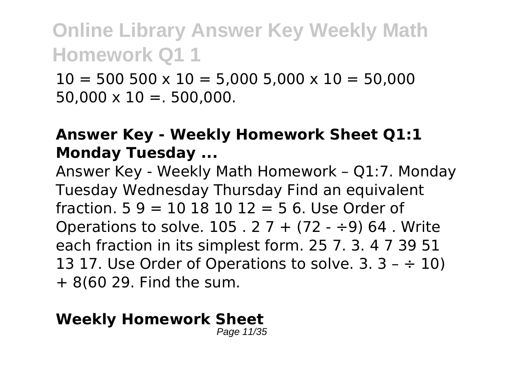$10 = 500\,500 \times 10 = 5,000\,5,000 \times 10 = 50,000$  $50.000 \times 10 = 500.000$ .

#### **Answer Key - Weekly Homework Sheet Q1:1 Monday Tuesday ...**

Answer Key - Weekly Math Homework – Q1:7. Monday Tuesday Wednesday Thursday Find an equivalent fraction.  $5.9 = 10.18, 10.12 = 5.6$ . Use Order of Operations to solve.  $105.27 + (72 - 9)64$ . Write each fraction in its simplest form. 25 7. 3. 4 7 39 51 13 17. Use Order of Operations to solve.  $3.3 - \div 10$ ) + 8(60 29. Find the sum.

#### **Weekly Homework Sheet**

Page 11/35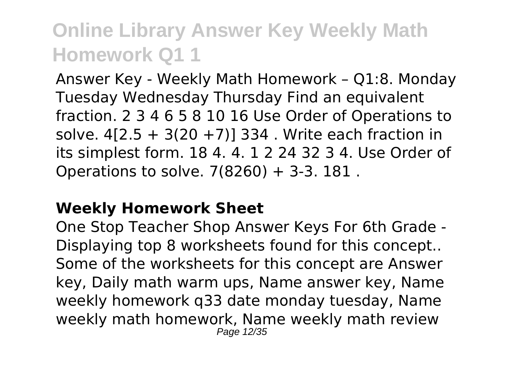Answer Key - Weekly Math Homework – Q1:8. Monday Tuesday Wednesday Thursday Find an equivalent fraction. 2 3 4 6 5 8 10 16 Use Order of Operations to solve.  $4[2.5 + 3(20 + 7)]$  334. Write each fraction in its simplest form. 18 4. 4. 1 2 24 32 3 4. Use Order of Operations to solve. 7(8260) + 3-3. 181 .

#### **Weekly Homework Sheet**

One Stop Teacher Shop Answer Keys For 6th Grade - Displaying top 8 worksheets found for this concept.. Some of the worksheets for this concept are Answer key, Daily math warm ups, Name answer key, Name weekly homework q33 date monday tuesday, Name weekly math homework, Name weekly math review Page 12/35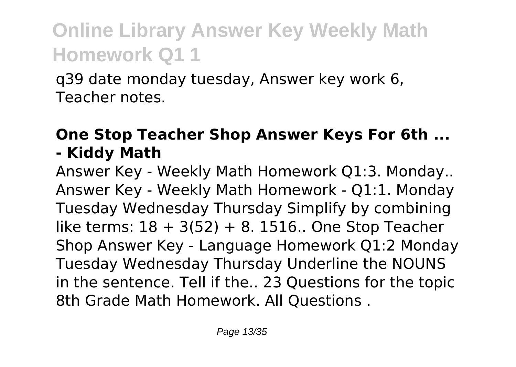q39 date monday tuesday, Answer key work 6, Teacher notes.

#### **One Stop Teacher Shop Answer Keys For 6th ... - Kiddy Math**

Answer Key - Weekly Math Homework Q1:3. Monday.. Answer Key - Weekly Math Homework - Q1:1. Monday Tuesday Wednesday Thursday Simplify by combining like terms:  $18 + 3(52) + 8$ . 1516.. One Stop Teacher Shop Answer Key - Language Homework Q1:2 Monday Tuesday Wednesday Thursday Underline the NOUNS in the sentence. Tell if the.. 23 Questions for the topic 8th Grade Math Homework. All Questions .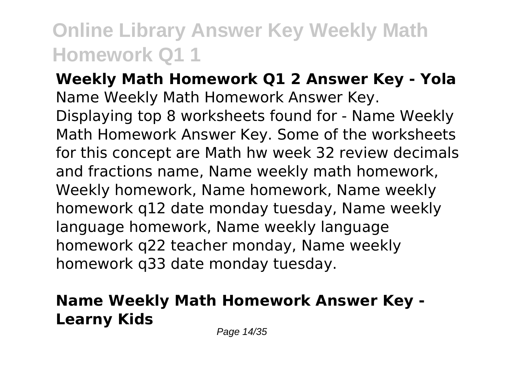**Weekly Math Homework Q1 2 Answer Key - Yola** Name Weekly Math Homework Answer Key. Displaying top 8 worksheets found for - Name Weekly Math Homework Answer Key. Some of the worksheets for this concept are Math hw week 32 review decimals and fractions name, Name weekly math homework, Weekly homework, Name homework, Name weekly homework q12 date monday tuesday, Name weekly language homework, Name weekly language homework q22 teacher monday, Name weekly homework q33 date monday tuesday.

#### **Name Weekly Math Homework Answer Key - Learny Kids**

Page 14/35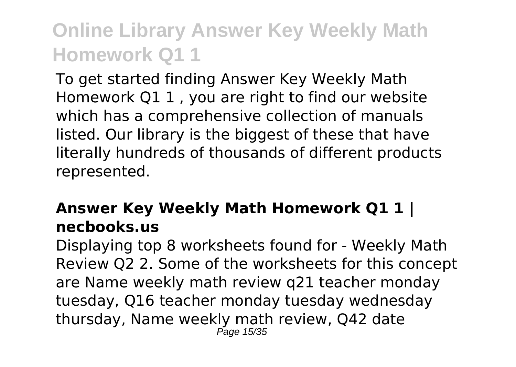To get started finding Answer Key Weekly Math Homework Q1 1 , you are right to find our website which has a comprehensive collection of manuals listed. Our library is the biggest of these that have literally hundreds of thousands of different products represented.

#### **Answer Key Weekly Math Homework Q1 1 | necbooks.us**

Displaying top 8 worksheets found for - Weekly Math Review Q2 2. Some of the worksheets for this concept are Name weekly math review q21 teacher monday tuesday, Q16 teacher monday tuesday wednesday thursday, Name weekly math review, Q42 date Page 15/35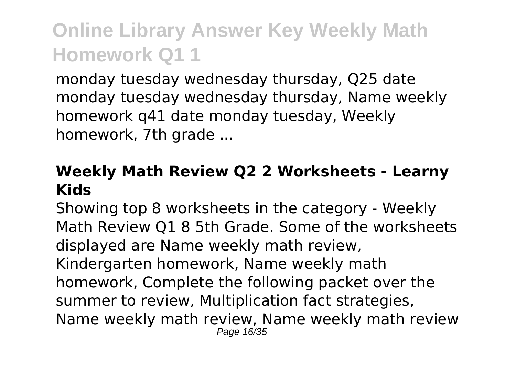monday tuesday wednesday thursday, Q25 date monday tuesday wednesday thursday, Name weekly homework q41 date monday tuesday, Weekly homework, 7th grade ...

#### **Weekly Math Review Q2 2 Worksheets - Learny Kids**

Showing top 8 worksheets in the category - Weekly Math Review Q1 8 5th Grade. Some of the worksheets displayed are Name weekly math review, Kindergarten homework, Name weekly math homework, Complete the following packet over the summer to review, Multiplication fact strategies, Name weekly math review, Name weekly math review Page 16/35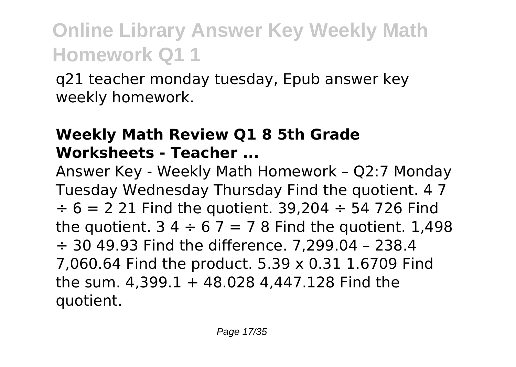q21 teacher monday tuesday, Epub answer key weekly homework.

#### **Weekly Math Review Q1 8 5th Grade Worksheets - Teacher ...**

Answer Key - Weekly Math Homework – Q2:7 Monday Tuesday Wednesday Thursday Find the quotient. 4 7  $\div$  6 = 2 21 Find the quotient. 39,204  $\div$  54 726 Find the quotient.  $34 \div 67 = 78$  Find the quotient. 1,498 ÷ 30 49.93 Find the difference. 7,299.04 – 238.4 7,060.64 Find the product. 5.39 x 0.31 1.6709 Find the sum. 4,399.1 + 48.028 4,447.128 Find the quotient.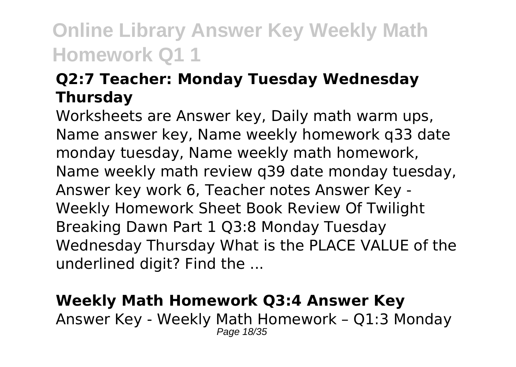#### **Q2:7 Teacher: Monday Tuesday Wednesday Thursday**

Worksheets are Answer key, Daily math warm ups, Name answer key, Name weekly homework q33 date monday tuesday, Name weekly math homework, Name weekly math review q39 date monday tuesday, Answer key work 6, Teacher notes Answer Key - Weekly Homework Sheet Book Review Of Twilight Breaking Dawn Part 1 Q3:8 Monday Tuesday Wednesday Thursday What is the PLACE VALUE of the underlined digit? Find the ...

#### **Weekly Math Homework Q3:4 Answer Key**

Answer Key - Weekly Math Homework – Q1:3 Monday Page 18/35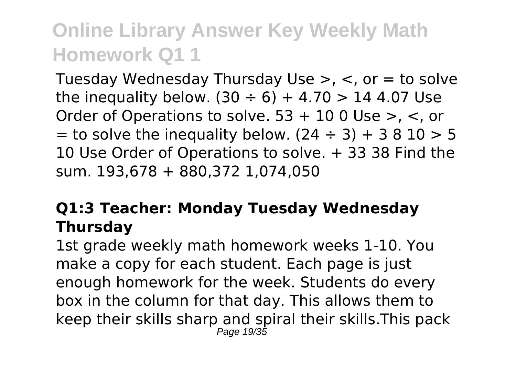Tuesday Wednesday Thursday Use >, <, or = to solve the inequality below.  $(30 \div 6) + 4.70 > 144.07$  Use Order of Operations to solve. 53 + 10 0 Use >, <, or  $=$  to solve the inequality below. (24  $\div$  3) + 3 8 10 > 5 10 Use Order of Operations to solve. + 33 38 Find the sum. 193,678 + 880,372 1,074,050

#### **Q1:3 Teacher: Monday Tuesday Wednesday Thursday**

1st grade weekly math homework weeks 1-10. You make a copy for each student. Each page is just enough homework for the week. Students do every box in the column for that day. This allows them to keep their skills sharp and spiral their skills.This pack Page 19/35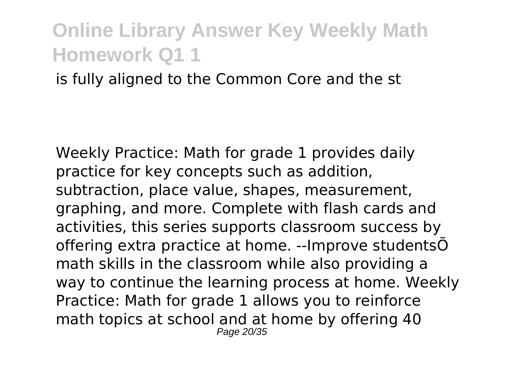#### is fully aligned to the Common Core and the st

Weekly Practice: Math for grade 1 provides daily practice for key concepts such as addition, subtraction, place value, shapes, measurement, graphing, and more. Complete with flash cards and activities, this series supports classroom success by offering extra practice at home. --Improve studentsÕ math skills in the classroom while also providing a way to continue the learning process at home. Weekly Practice: Math for grade 1 allows you to reinforce math topics at school and at home by offering 40 Page 20/35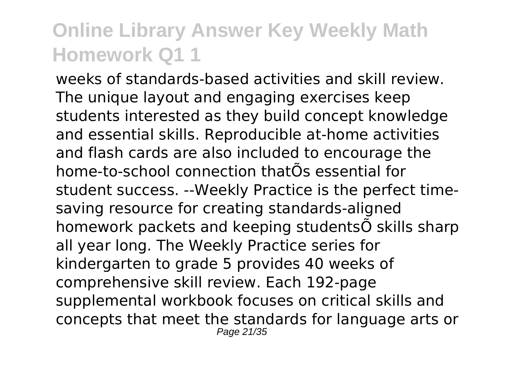weeks of standards-based activities and skill review. The unique layout and engaging exercises keep students interested as they build concept knowledge and essential skills. Reproducible at-home activities and flash cards are also included to encourage the home-to-school connection thatÕs essential for student success. --Weekly Practice is the perfect timesaving resource for creating standards-aligned homework packets and keeping studentsÕ skills sharp all year long. The Weekly Practice series for kindergarten to grade 5 provides 40 weeks of comprehensive skill review. Each 192-page supplemental workbook focuses on critical skills and concepts that meet the standards for language arts or Page 21/35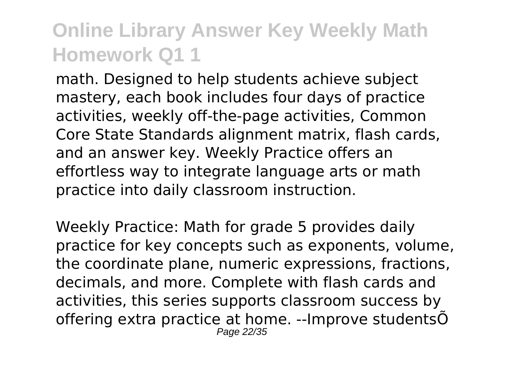math. Designed to help students achieve subject mastery, each book includes four days of practice activities, weekly off-the-page activities, Common Core State Standards alignment matrix, flash cards, and an answer key. Weekly Practice offers an effortless way to integrate language arts or math practice into daily classroom instruction.

Weekly Practice: Math for grade 5 provides daily practice for key concepts such as exponents, volume, the coordinate plane, numeric expressions, fractions, decimals, and more. Complete with flash cards and activities, this series supports classroom success by offering extra practice at home. --Improve studentsÕ Page 22/35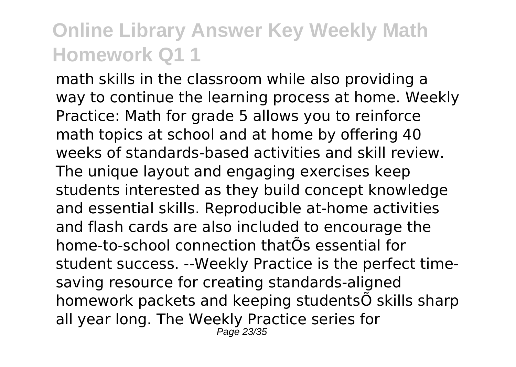math skills in the classroom while also providing a way to continue the learning process at home. Weekly Practice: Math for grade 5 allows you to reinforce math topics at school and at home by offering 40 weeks of standards-based activities and skill review. The unique layout and engaging exercises keep students interested as they build concept knowledge and essential skills. Reproducible at-home activities and flash cards are also included to encourage the home-to-school connection thatÕs essential for student success. --Weekly Practice is the perfect timesaving resource for creating standards-aligned homework packets and keeping studentsÕ skills sharp all year long. The Weekly Practice series for Page 23/35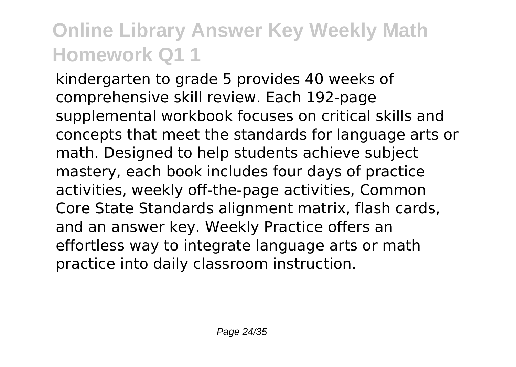kindergarten to grade 5 provides 40 weeks of comprehensive skill review. Each 192-page supplemental workbook focuses on critical skills and concepts that meet the standards for language arts or math. Designed to help students achieve subject mastery, each book includes four days of practice activities, weekly off-the-page activities, Common Core State Standards alignment matrix, flash cards, and an answer key. Weekly Practice offers an effortless way to integrate language arts or math practice into daily classroom instruction.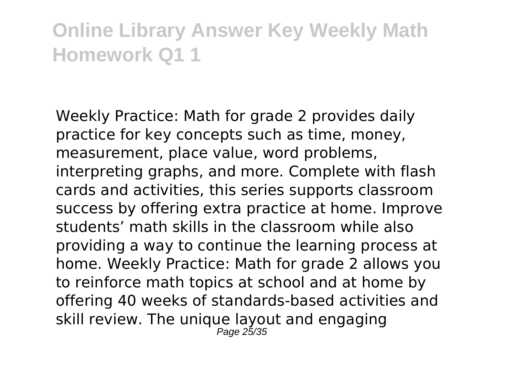Weekly Practice: Math for grade 2 provides daily practice for key concepts such as time, money, measurement, place value, word problems, interpreting graphs, and more. Complete with flash cards and activities, this series supports classroom success by offering extra practice at home. Improve students' math skills in the classroom while also providing a way to continue the learning process at home. Weekly Practice: Math for grade 2 allows you to reinforce math topics at school and at home by offering 40 weeks of standards-based activities and skill review. The unique layout and engaging Page 25/35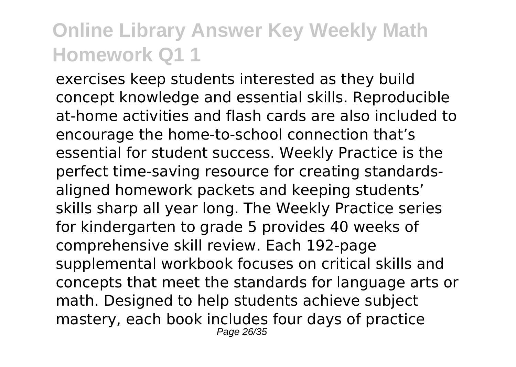exercises keep students interested as they build concept knowledge and essential skills. Reproducible at-home activities and flash cards are also included to encourage the home-to-school connection that's essential for student success. Weekly Practice is the perfect time-saving resource for creating standardsaligned homework packets and keeping students' skills sharp all year long. The Weekly Practice series for kindergarten to grade 5 provides 40 weeks of comprehensive skill review. Each 192-page supplemental workbook focuses on critical skills and concepts that meet the standards for language arts or math. Designed to help students achieve subject mastery, each book includes four days of practice Page 26/35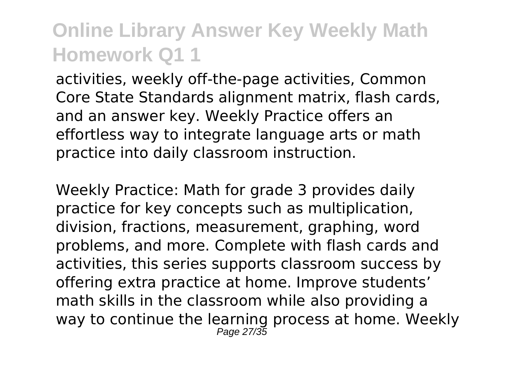activities, weekly off-the-page activities, Common Core State Standards alignment matrix, flash cards, and an answer key. Weekly Practice offers an effortless way to integrate language arts or math practice into daily classroom instruction.

Weekly Practice: Math for grade 3 provides daily practice for key concepts such as multiplication, division, fractions, measurement, graphing, word problems, and more. Complete with flash cards and activities, this series supports classroom success by offering extra practice at home. Improve students' math skills in the classroom while also providing a way to continue the learning process at home. Weekly Page 27/35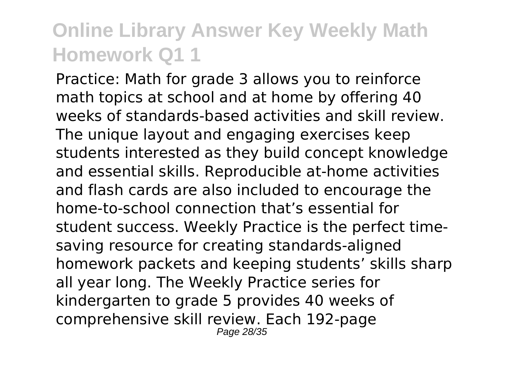Practice: Math for grade 3 allows you to reinforce math topics at school and at home by offering 40 weeks of standards-based activities and skill review. The unique layout and engaging exercises keep students interested as they build concept knowledge and essential skills. Reproducible at-home activities and flash cards are also included to encourage the home-to-school connection that's essential for student success. Weekly Practice is the perfect timesaving resource for creating standards-aligned homework packets and keeping students' skills sharp all year long. The Weekly Practice series for kindergarten to grade 5 provides 40 weeks of comprehensive skill review. Each 192-page Page 28/35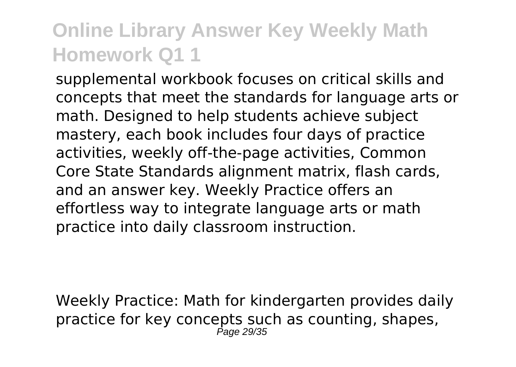supplemental workbook focuses on critical skills and concepts that meet the standards for language arts or math. Designed to help students achieve subject mastery, each book includes four days of practice activities, weekly off-the-page activities, Common Core State Standards alignment matrix, flash cards, and an answer key. Weekly Practice offers an effortless way to integrate language arts or math practice into daily classroom instruction.

Weekly Practice: Math for kindergarten provides daily practice for key concepts such as counting, shapes, Page 29/35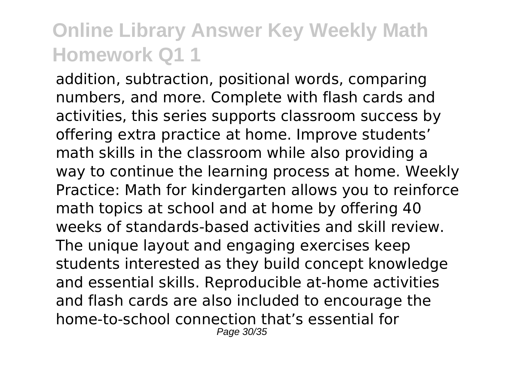addition, subtraction, positional words, comparing numbers, and more. Complete with flash cards and activities, this series supports classroom success by offering extra practice at home. Improve students' math skills in the classroom while also providing a way to continue the learning process at home. Weekly Practice: Math for kindergarten allows you to reinforce math topics at school and at home by offering 40 weeks of standards-based activities and skill review. The unique layout and engaging exercises keep students interested as they build concept knowledge and essential skills. Reproducible at-home activities and flash cards are also included to encourage the home-to-school connection that's essential for Page 30/35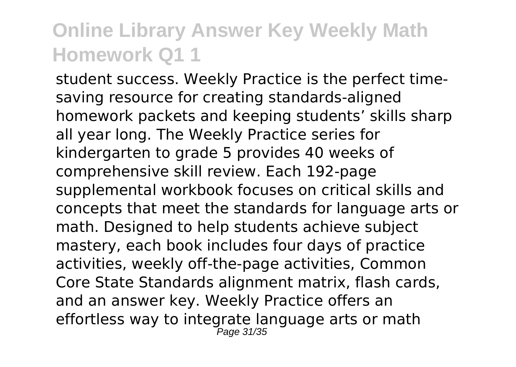student success. Weekly Practice is the perfect timesaving resource for creating standards-aligned homework packets and keeping students' skills sharp all year long. The Weekly Practice series for kindergarten to grade 5 provides 40 weeks of comprehensive skill review. Each 192-page supplemental workbook focuses on critical skills and concepts that meet the standards for language arts or math. Designed to help students achieve subject mastery, each book includes four days of practice activities, weekly off-the-page activities, Common Core State Standards alignment matrix, flash cards, and an answer key. Weekly Practice offers an effortless way to integrate language arts or math Page 31/35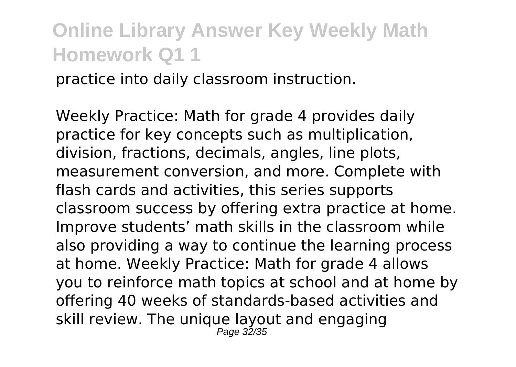practice into daily classroom instruction.

Weekly Practice: Math for grade 4 provides daily practice for key concepts such as multiplication, division, fractions, decimals, angles, line plots, measurement conversion, and more. Complete with flash cards and activities, this series supports classroom success by offering extra practice at home. Improve students' math skills in the classroom while also providing a way to continue the learning process at home. Weekly Practice: Math for grade 4 allows you to reinforce math topics at school and at home by offering 40 weeks of standards-based activities and skill review. The unique layout and engaging Page 32/35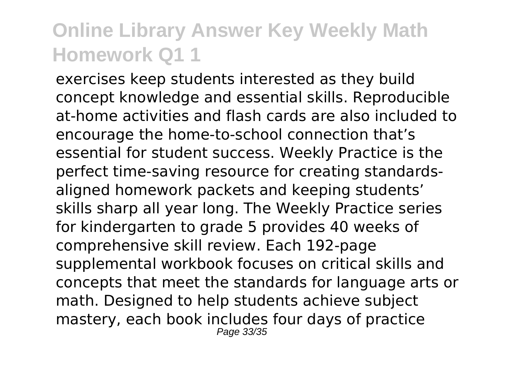exercises keep students interested as they build concept knowledge and essential skills. Reproducible at-home activities and flash cards are also included to encourage the home-to-school connection that's essential for student success. Weekly Practice is the perfect time-saving resource for creating standardsaligned homework packets and keeping students' skills sharp all year long. The Weekly Practice series for kindergarten to grade 5 provides 40 weeks of comprehensive skill review. Each 192-page supplemental workbook focuses on critical skills and concepts that meet the standards for language arts or math. Designed to help students achieve subject mastery, each book includes four days of practice Page 33/35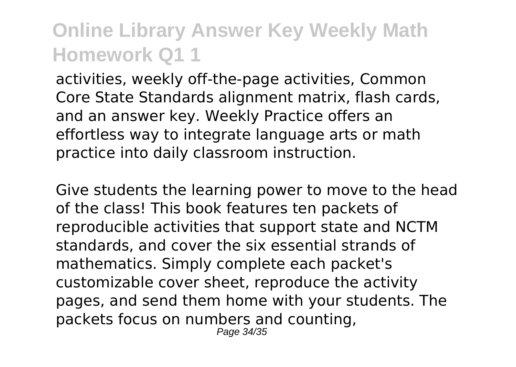activities, weekly off-the-page activities, Common Core State Standards alignment matrix, flash cards, and an answer key. Weekly Practice offers an effortless way to integrate language arts or math practice into daily classroom instruction.

Give students the learning power to move to the head of the class! This book features ten packets of reproducible activities that support state and NCTM standards, and cover the six essential strands of mathematics. Simply complete each packet's customizable cover sheet, reproduce the activity pages, and send them home with your students. The packets focus on numbers and counting, Page 34/35